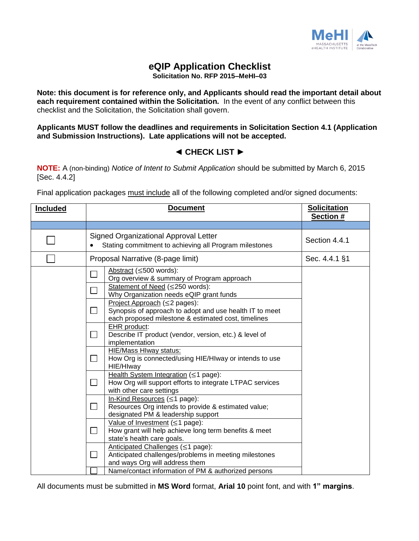

## **eQIP Application Checklist**

**Solicitation No. RFP 2015–MeHI–03**

**Note: this document is for reference only, and Applicants should read the important detail about each requirement contained within the Solicitation.** In the event of any conflict between this checklist and the Solicitation, the Solicitation shall govern.

**Applicants MUST follow the deadlines and requirements in Solicitation Section 4.1 (Application and Submission Instructions). Late applications will not be accepted.**

## **◄ CHECK LIST ►**

**NOTE:** A (non-binding) *Notice of Intent to Submit Application* should be submitted by March 6, 2015 [Sec. 4.4.2]

Final application packages must include all of the following completed and/or signed documents:

| <b>Included</b> | <b>Document</b>                                                                                                                                                  | <b>Solicitation</b><br>Section # |
|-----------------|------------------------------------------------------------------------------------------------------------------------------------------------------------------|----------------------------------|
|                 |                                                                                                                                                                  |                                  |
|                 | Signed Organizational Approval Letter<br>Stating commitment to achieving all Program milestones                                                                  | Section 4.4.1                    |
|                 | Proposal Narrative (8-page limit)                                                                                                                                | Sec. 4.4.1 §1                    |
|                 | Abstract ( $\leq$ 500 words):<br>Org overview & summary of Program approach<br>Statement of Need (≤250 words):<br>Why Organization needs eQIP grant funds        |                                  |
|                 | Project Approach (≤2 pages):<br>Synopsis of approach to adopt and use health IT to meet<br>$\blacksquare$<br>each proposed milestone & estimated cost, timelines |                                  |
|                 | EHR product:<br>Describe IT product (vendor, version, etc.) & level of<br>$\blacksquare$<br>implementation                                                       |                                  |
|                 | HIE/Mass HIway status:<br>┓<br>How Org is connected/using HIE/HIway or intends to use<br>HIE/HIway                                                               |                                  |
|                 | Health System Integration ( $\leq$ 1 page):<br>How Org will support efforts to integrate LTPAC services<br>$\mathbf{L}$<br>with other care settings              |                                  |
|                 | In-Kind Resources ( $\leq$ 1 page):<br>$\Box$<br>Resources Org intends to provide & estimated value;<br>designated PM & leadership support                       |                                  |
|                 | Value of Investment $(\leq 1$ page):<br>How grant will help achieve long term benefits & meet<br>$\blacksquare$<br>state's health care goals.                    |                                  |
|                 | Anticipated Challenges (≤1 page):<br>Anticipated challenges/problems in meeting milestones<br>$\mathsf{L}$<br>and ways Org will address them                     |                                  |
|                 | Name/contact information of PM & authorized persons                                                                                                              |                                  |

All documents must be submitted in **MS Word** format, **Arial 10** point font, and with **1" margins**.